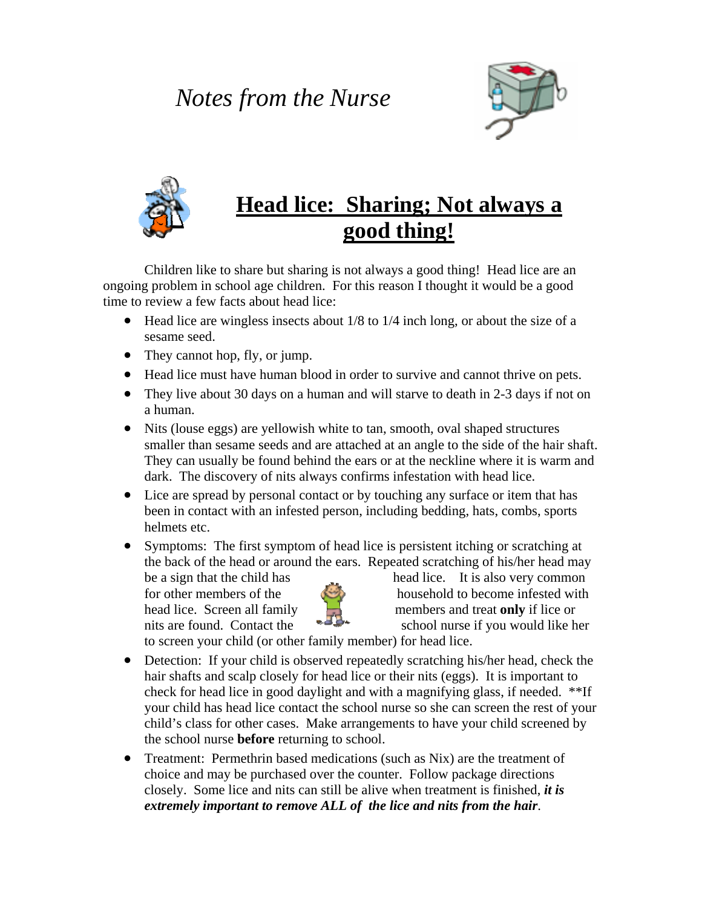## *Notes from the Nurse*





## **Head lice: Sharing; Not always a good thing!**

 Children like to share but sharing is not always a good thing! Head lice are an ongoing problem in school age children. For this reason I thought it would be a good time to review a few facts about head lice:

- Head lice are wingless insects about 1/8 to 1/4 inch long, or about the size of a sesame seed.
- They cannot hop, fly, or jump.
- Head lice must have human blood in order to survive and cannot thrive on pets.
- They live about 30 days on a human and will starve to death in 2-3 days if not on a human.
- Nits (louse eggs) are yellowish white to tan, smooth, oval shaped structures smaller than sesame seeds and are attached at an angle to the side of the hair shaft. They can usually be found behind the ears or at the neckline where it is warm and dark. The discovery of nits always confirms infestation with head lice.
- Lice are spread by personal contact or by touching any surface or item that has been in contact with an infested person, including bedding, hats, combs, sports helmets etc.
- Symptoms: The first symptom of head lice is persistent itching or scratching at the back of the head or around the ears. Repeated scratching of his/her head may



be a sign that the child has head lice. It is also very common for other members of the  $\sim$  household to become infested with head lice. Screen all family **the subset of the set of the set of the set of the set of the set of the set of the set of the set of the set of the set of the set of the set of the set of the set of the set of the set of th** nits are found. Contact the  $\rightarrow$  school nurse if you would like her

to screen your child (or other family member) for head lice.

- Detection: If your child is observed repeatedly scratching his/her head, check the hair shafts and scalp closely for head lice or their nits (eggs). It is important to check for head lice in good daylight and with a magnifying glass, if needed. \*\*If your child has head lice contact the school nurse so she can screen the rest of your child's class for other cases. Make arrangements to have your child screened by the school nurse **before** returning to school.
- Treatment: Permethrin based medications (such as Nix) are the treatment of choice and may be purchased over the counter. Follow package directions closely. Some lice and nits can still be alive when treatment is finished, *it is extremely important to remove ALL of the lice and nits from the hair*.